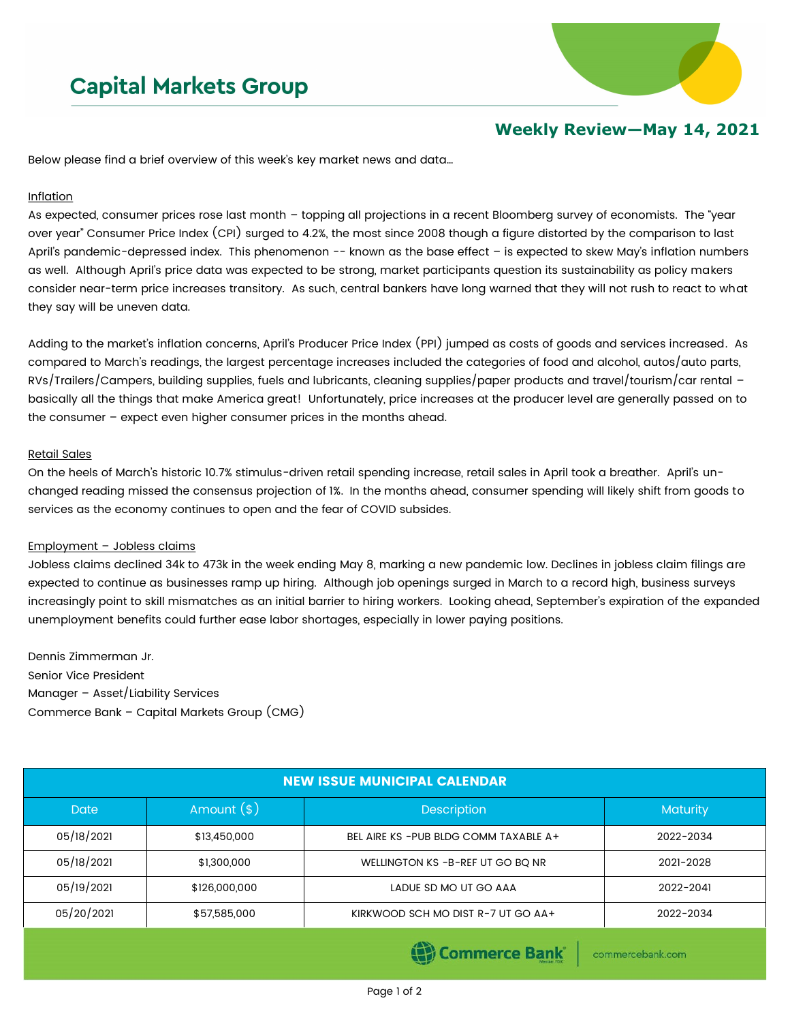# **Capital Markets Group**



## **Weekly Review—May 14, 2021**

Below please find a brief overview of this week's key market news and data…

#### Inflation

As expected, consumer prices rose last month – topping all projections in a recent Bloomberg survey of economists. The "year over year" Consumer Price Index (CPI) surged to 4.2%, the most since 2008 though a figure distorted by the comparison to last April's pandemic-depressed index. This phenomenon -- known as the base effect - is expected to skew May's inflation numbers as well. Although April's price data was expected to be strong, market participants question its sustainability as policy makers consider near-term price increases transitory. As such, central bankers have long warned that they will not rush to react to what they say will be uneven data.

Adding to the market's inflation concerns, April's Producer Price Index (PPI) jumped as costs of goods and services increased. As compared to March's readings, the largest percentage increases included the categories of food and alcohol, autos/auto parts, RVs/Trailers/Campers, building supplies, fuels and lubricants, cleaning supplies/paper products and travel/tourism/car rental – basically all the things that make America great! Unfortunately, price increases at the producer level are generally passed on to the consumer – expect even higher consumer prices in the months ahead.

#### Retail Sales

On the heels of March's historic 10.7% stimulus-driven retail spending increase, retail sales in April took a breather. April's unchanged reading missed the consensus projection of 1%. In the months ahead, consumer spending will likely shift from goods to services as the economy continues to open and the fear of COVID subsides.

### Employment – Jobless claims

Jobless claims declined 34k to 473k in the week ending May 8, marking a new pandemic low. Declines in jobless claim filings are expected to continue as businesses ramp up hiring. Although job openings surged in March to a record high, business surveys increasingly point to skill mismatches as an initial barrier to hiring workers. Looking ahead, September's expiration of the expanded unemployment benefits could further ease labor shortages, especially in lower paying positions.

Dennis Zimmerman Jr. Senior Vice President Manager – Asset/Liability Services Commerce Bank – Capital Markets Group (CMG)

| <b>NEW ISSUE MUNICIPAL CALENDAR</b> |               |                                        |           |  |  |  |
|-------------------------------------|---------------|----------------------------------------|-----------|--|--|--|
| <b>Date</b>                         | Amount $(*)$  | <b>Description</b>                     | Maturity  |  |  |  |
| 05/18/2021                          | \$13,450,000  | BEL AIRE KS - PUB BLDG COMM TAXABLE A+ | 2022-2034 |  |  |  |
| 05/18/2021                          | \$1,300,000   | WELLINGTON KS - B-REF UT GO BO NR      | 2021-2028 |  |  |  |
| 05/19/2021                          | \$126,000,000 | LADUE SD MO UT GO AAA                  | 2022-2041 |  |  |  |
| 05/20/2021                          | \$57,585,000  | KIRKWOOD SCH MO DIST R-7 UT GO AA+     | 2022-2034 |  |  |  |
|                                     |               |                                        |           |  |  |  |

Commerce Bank

commercebank.com